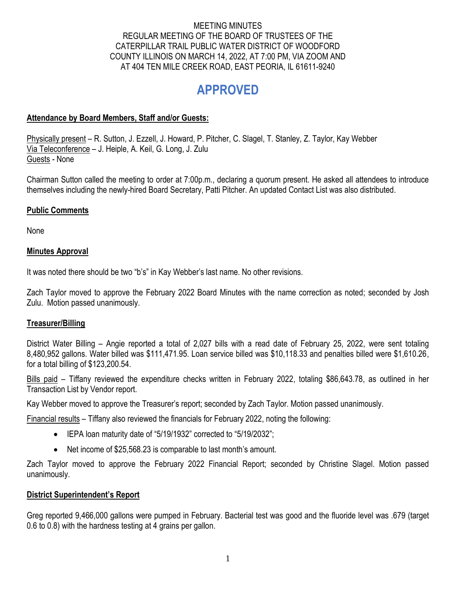#### MEETING MINUTES REGULAR MEETING OF THE BOARD OF TRUSTEES OF THE CATERPILLAR TRAIL PUBLIC WATER DISTRICT OF WOODFORD COUNTY ILLINOIS ON MARCH 14, 2022, AT 7:00 PM, VIA ZOOM AND AT 404 TEN MILE CREEK ROAD, EAST PEORIA, IL 61611-9240

# **APPROVED**

## **Attendance by Board Members, Staff and/or Guests:**

Physically present – R. Sutton, J. Ezzell, J. Howard, P. Pitcher, C. Slagel, T. Stanley, Z. Taylor, Kay Webber Via Teleconference – J. Heiple, A. Keil, G. Long, J. Zulu Guests - None

Chairman Sutton called the meeting to order at 7:00p.m., declaring a quorum present. He asked all attendees to introduce themselves including the newly-hired Board Secretary, Patti Pitcher. An updated Contact List was also distributed.

## **Public Comments**

None

## **Minutes Approval**

It was noted there should be two "b's" in Kay Webber's last name. No other revisions.

Zach Taylor moved to approve the February 2022 Board Minutes with the name correction as noted; seconded by Josh Zulu. Motion passed unanimously.

## **Treasurer/Billing**

District Water Billing – Angie reported a total of 2,027 bills with a read date of February 25, 2022, were sent totaling 8,480,952 gallons. Water billed was \$111,471.95. Loan service billed was \$10,118.33 and penalties billed were \$1,610.26, for a total billing of \$123,200.54.

Bills paid – Tiffany reviewed the expenditure checks written in February 2022, totaling \$86,643.78, as outlined in her Transaction List by Vendor report.

Kay Webber moved to approve the Treasurer's report; seconded by Zach Taylor. Motion passed unanimously.

Financial results – Tiffany also reviewed the financials for February 2022, noting the following:

- IEPA loan maturity date of "5/19/1932" corrected to "5/19/2032";
- Net income of \$25,568.23 is comparable to last month's amount.

Zach Taylor moved to approve the February 2022 Financial Report; seconded by Christine Slagel. Motion passed unanimously.

## **District Superintendent's Report**

Greg reported 9,466,000 gallons were pumped in February. Bacterial test was good and the fluoride level was .679 (target 0.6 to 0.8) with the hardness testing at 4 grains per gallon.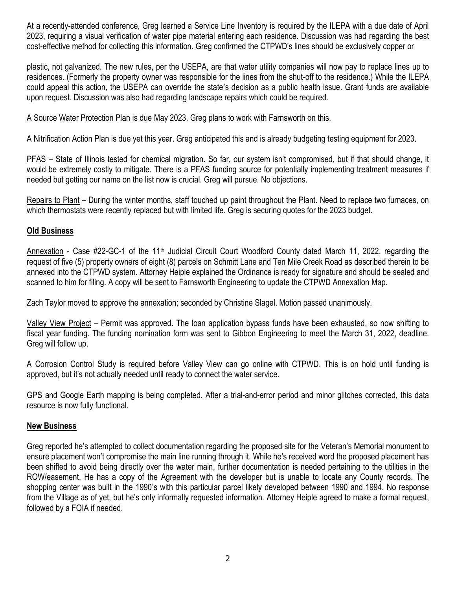At a recently-attended conference, Greg learned a Service Line Inventory is required by the ILEPA with a due date of April 2023, requiring a visual verification of water pipe material entering each residence. Discussion was had regarding the best cost-effective method for collecting this information. Greg confirmed the CTPWD's lines should be exclusively copper or

plastic, not galvanized. The new rules, per the USEPA, are that water utility companies will now pay to replace lines up to residences. (Formerly the property owner was responsible for the lines from the shut-off to the residence.) While the ILEPA could appeal this action, the USEPA can override the state's decision as a public health issue. Grant funds are available upon request. Discussion was also had regarding landscape repairs which could be required.

A Source Water Protection Plan is due May 2023. Greg plans to work with Farnsworth on this.

A Nitrification Action Plan is due yet this year. Greg anticipated this and is already budgeting testing equipment for 2023.

PFAS – State of Illinois tested for chemical migration. So far, our system isn't compromised, but if that should change, it would be extremely costly to mitigate. There is a PFAS funding source for potentially implementing treatment measures if needed but getting our name on the list now is crucial. Greg will pursue. No objections.

Repairs to Plant – During the winter months, staff touched up paint throughout the Plant. Need to replace two furnaces, on which thermostats were recently replaced but with limited life. Greg is securing quotes for the 2023 budget.

## **Old Business**

Annexation - Case #22-GC-1 of the 11<sup>th</sup> Judicial Circuit Court Woodford County dated March 11, 2022, regarding the request of five (5) property owners of eight (8) parcels on Schmitt Lane and Ten Mile Creek Road as described therein to be annexed into the CTPWD system. Attorney Heiple explained the Ordinance is ready for signature and should be sealed and scanned to him for filing. A copy will be sent to Farnsworth Engineering to update the CTPWD Annexation Map.

Zach Taylor moved to approve the annexation; seconded by Christine Slagel. Motion passed unanimously.

Valley View Project – Permit was approved. The loan application bypass funds have been exhausted, so now shifting to fiscal year funding. The funding nomination form was sent to Gibbon Engineering to meet the March 31, 2022, deadline. Greg will follow up.

A Corrosion Control Study is required before Valley View can go online with CTPWD. This is on hold until funding is approved, but it's not actually needed until ready to connect the water service.

GPS and Google Earth mapping is being completed. After a trial-and-error period and minor glitches corrected, this data resource is now fully functional.

## **New Business**

Greg reported he's attempted to collect documentation regarding the proposed site for the Veteran's Memorial monument to ensure placement won't compromise the main line running through it. While he's received word the proposed placement has been shifted to avoid being directly over the water main, further documentation is needed pertaining to the utilities in the ROW/easement. He has a copy of the Agreement with the developer but is unable to locate any County records. The shopping center was built in the 1990's with this particular parcel likely developed between 1990 and 1994. No response from the Village as of yet, but he's only informally requested information. Attorney Heiple agreed to make a formal request, followed by a FOIA if needed.